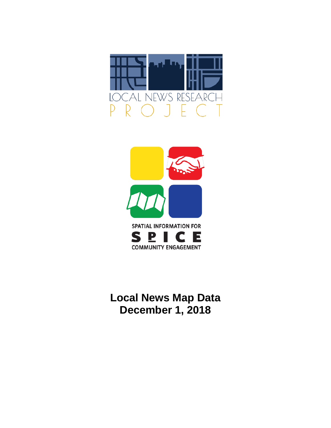



# **Local News Map Data December 1, 2018**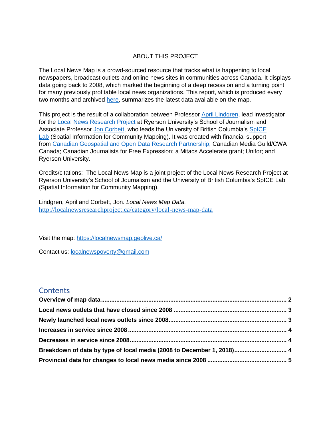#### ABOUT THIS PROJECT

The Local News Map is a crowd-sourced resource that tracks what is happening to local newspapers, broadcast outlets and online news sites in communities across Canada. It displays data going back to 2008, which marked the beginning of a deep recession and a turning point for many previously profitable local news organizations. This report, which is produced every two months and archived [here,](http://localnewsresearchproject.ca/category/local-news-map-data) summarizes the latest data available on the map.

This project is the result of a collaboration between Professor [April Lindgren,](http://rsj.journalism.ryerson.ca/team/april-lindgren/) lead investigator for the [Local News Research Project](http://localnewsresearchproject.ca/) at Ryerson University's School of Journalism and Associate Professor [Jon Corbett,](http://joncorbett.com/JonCorbett/Home.html) who leads the University of British Columbia's [SpICE](http://spice.geolive.ca/)  [Lab](http://spice.geolive.ca/) (Spatial Information for Community Mapping). It was created with financial support from [Canadian Geospatial and Open Data Research Partnership;](http://geothink.ca/) Canadian Media Guild/CWA Canada; Canadian Journalists for Free Expression; a Mitacs Accelerate grant; Unifor; and Ryerson University.

Credits/citations: The Local News Map is a joint project of the Local News Research Project at Ryerson University's School of Journalism and the University of British Columbia's SpICE Lab (Spatial Information for Community Mapping).

Lindgren, April and Corbett, Jon. *Local News Map Data.*  <http://localnewsresearchproject.ca/category/local-news-map-data>

Visit the map:<https://localnewsmap.geolive.ca/>

Contact us: **[localnewspoverty@gmail.com](mailto:localnewspoverty@gmail.com)** 

#### **Contents**

| Breakdown of data by type of local media (2008 to December 1, 2018) 4 |  |
|-----------------------------------------------------------------------|--|
|                                                                       |  |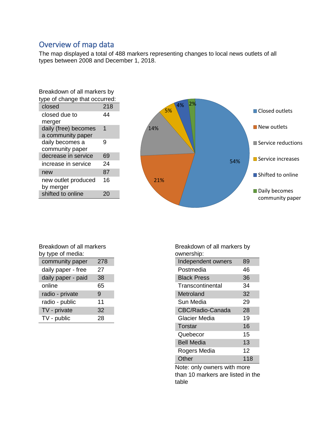## <span id="page-2-0"></span>Overview of map data

The map displayed a total of 488 markers representing changes to local news outlets of all types between 2008 and December 1, 2018.

| Breakdown of all markers by   |     |  |  |  |
|-------------------------------|-----|--|--|--|
| type of change that occurred: |     |  |  |  |
| closed                        | 218 |  |  |  |
| closed due to                 | 44  |  |  |  |
| merger                        |     |  |  |  |
| daily (free) becomes          | 1   |  |  |  |
| a community paper             |     |  |  |  |
| daily becomes a               | 9   |  |  |  |
| community paper               |     |  |  |  |
| decrease in service           | 69  |  |  |  |
| increase in service           | 24  |  |  |  |
| new                           | 87  |  |  |  |
| new outlet produced           | 16  |  |  |  |
| by merger                     |     |  |  |  |
| shifted to online             |     |  |  |  |



| Breakdown of all markers |     |  |  |  |  |
|--------------------------|-----|--|--|--|--|
| by type of media:        |     |  |  |  |  |
| community paper          | 278 |  |  |  |  |
| daily paper - free       | 27  |  |  |  |  |
| daily paper - paid       | 38  |  |  |  |  |
| online                   | 65  |  |  |  |  |
| radio - private          | 9   |  |  |  |  |
| radio - public           | 11  |  |  |  |  |
| TV - private             | 32  |  |  |  |  |
| TV - public              | 28  |  |  |  |  |
|                          |     |  |  |  |  |

Breakdown of all markers by ownership:

| Independent owners | 89  |
|--------------------|-----|
| Postmedia          | 46  |
| <b>Black Press</b> | 36  |
| Transcontinental   | 34  |
| Metroland          | 32  |
| Sun Media          | 29  |
| CBC/Radio-Canada   | 28  |
| Glacier Media      | 19  |
| Torstar            | 16  |
| Quebecor           | 15  |
| <b>Bell Media</b>  | 13  |
| Rogers Media       | 12  |
| Other              | 118 |

Note: only owners with more than 10 markers are listed in the table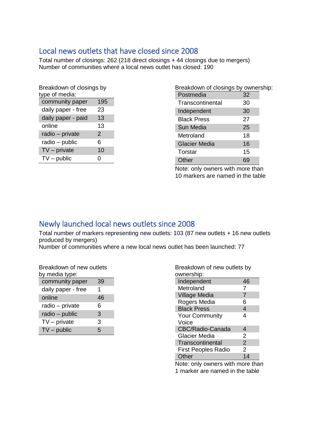### <span id="page-3-0"></span>Local news outlets that have closed since 2008

Total number of closings: 262 (218 direct closings + 44 closings due to mergers) Number of communities where a local news outlet has closed: 190

| Breakdown of closings by |     |  |  |  |
|--------------------------|-----|--|--|--|
| type of media:           |     |  |  |  |
| community paper          | 195 |  |  |  |
| daily paper - free       | 23  |  |  |  |
| daily paper - paid       | 13  |  |  |  |
| online                   | 13  |  |  |  |
| radio - private          | 2   |  |  |  |
| radio – public           | 6   |  |  |  |
| $TV$ – private           | 10  |  |  |  |
| $TV$ – public            | ი   |  |  |  |
|                          |     |  |  |  |

| Breakdown of closings by ownership: |    |  |
|-------------------------------------|----|--|
| Postmedia                           | 32 |  |
| Transcontinental                    | 30 |  |
| Independent                         | 30 |  |
| <b>Black Press</b>                  | 27 |  |
| Sun Media                           | 25 |  |
| Metroland                           | 18 |  |
| <b>Glacier Media</b>                | 16 |  |
| Torstar                             | 15 |  |
| Other                               |    |  |

Note: only owners with more than 10 markers are named in the table

# <span id="page-3-1"></span>Newly launched local news outlets since 2008

Total number of markers representing new outlets: 103 (87 new outlets + 16 new outlets produced by mergers)

Number of communities where a new local news outlet has been launched: 77

Breakdown of new outlets by media type:

| community paper    | 39 |
|--------------------|----|
| daily paper - free | 1  |
| online             | 46 |
| radio - private    | 6  |
| radio - public     | 3  |
| $TV$ – private     | 3  |
| $TV$ – public      | 5  |

| Breakdown of new outlets by |                |
|-----------------------------|----------------|
| ownership:                  |                |
| Independent                 | 46             |
| Metroland                   | 7              |
| <b>Village Media</b>        | 7              |
| Rogers Media                | 6              |
| <b>Black Press</b>          | 4              |
| <b>Your Community</b>       | 4              |
| Voice                       |                |
| CBC/Radio-Canada            | 4              |
| <b>Glacier Media</b>        | 2              |
| Transcontinental            | $\overline{2}$ |
| <b>First Peoples Radio</b>  | 2              |
| Other                       | 14             |
|                             |                |

Note: only owners with more than 1 marker are named in the table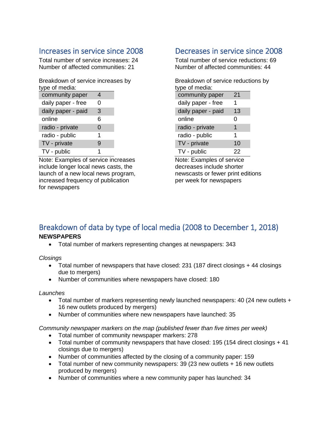## <span id="page-4-0"></span>Increases in service since 2008

Total number of service increases: 24 Number of affected communities: 21

Breakdown of service increases by type of media:

| , , , , , , , , , , , |   |  |
|-----------------------|---|--|
| community paper       | 4 |  |
| daily paper - free    | 0 |  |
| daily paper - paid    | 3 |  |
| online                | 6 |  |
| radio - private       | 0 |  |
| radio - public        | 1 |  |
| TV - private          | 9 |  |
| TV - public           | 1 |  |

Note: Examples of service increases include longer local news casts, the launch of a new local news program, increased frequency of publication for newspapers

### <span id="page-4-1"></span>Decreases in service since 2008

Total number of service reductions: 69 Number of affected communities: 44

Breakdown of service reductions by type of media: community paper 21

| daily paper - free | 1  |
|--------------------|----|
| daily paper - paid | 13 |
| online             | 0  |
| radio - private    | 1  |
| radio - public     | 1  |
| TV - private       | 10 |
| TV - public        | 22 |

Note: Examples of service decreases include shorter newscasts or fewer print editions per week for newspapers

### <span id="page-4-2"></span>Breakdown of data by type of local media (2008 to December 1, 2018) **NEWSPAPERS**

• Total number of markers representing changes at newspapers: 343

*Closings*

- Total number of newspapers that have closed: 231 (187 direct closings + 44 closings due to mergers)
- Number of communities where newspapers have closed: 180

#### *Launches*

- Total number of markers representing newly launched newspapers: 40 (24 new outlets + 16 new outlets produced by mergers)
- Number of communities where new newspapers have launched: 35

*Community newspaper markers on the map (published fewer than five times per week)* 

- Total number of community newspaper markers: 278
- Total number of community newspapers that have closed: 195 (154 direct closings + 41 closings due to mergers)
- Number of communities affected by the closing of a community paper: 159
- Total number of new community newspapers: 39 (23 new outlets + 16 new outlets produced by mergers)
- Number of communities where a new community paper has launched: 34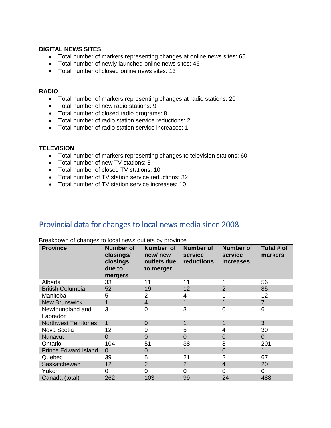#### **DIGITAL NEWS SITES**

- Total number of markers representing changes at online news sites: 65
- Total number of newly launched online news sites: 46
- Total number of closed online news sites: 13

#### **RADIO**

- Total number of markers representing changes at radio stations: 20
- Total number of new radio stations: 9
- Total number of closed radio programs: 8
- Total number of radio station service reductions: 2
- Total number of radio station service increases: 1

#### **TELEVISION**

- Total number of markers representing changes to television stations: 60
- Total number of new TV stations: 8
- Total number of closed TV stations: 10
- Total number of TV station service reductions: 32
- Total number of TV station service increases: 10

### <span id="page-5-0"></span>Provincial data for changes to local news media since 2008

| <b>Province</b>              | <b>Number of</b><br>closings/<br>closings<br>due to<br>mergers | Number of<br>new/new<br>outlets due<br>to merger | <b>Number of</b><br>service<br>reductions | <b>Number of</b><br>service<br><i>increases</i> | Total # of<br>markers |
|------------------------------|----------------------------------------------------------------|--------------------------------------------------|-------------------------------------------|-------------------------------------------------|-----------------------|
| Alberta                      | 33                                                             | 11                                               | 11                                        |                                                 | 56                    |
| <b>British Columbia</b>      | 52                                                             | 19                                               | 12                                        | $\overline{2}$                                  | 85                    |
| Manitoba                     | 5                                                              | 2                                                | 4                                         |                                                 | 12                    |
| <b>New Brunswick</b>         | 1                                                              | 4                                                |                                           | 1                                               | $\overline{7}$        |
| Newfoundland and<br>Labrador | 3                                                              | 0                                                | 3                                         | 0                                               | 6                     |
| <b>Northwest Territories</b> | 1                                                              | 0                                                |                                           | 1                                               | 3                     |
| Nova Scotia                  | 12                                                             | 9                                                | 5                                         | 4                                               | 30                    |
| <b>Nunavut</b>               | 0                                                              | 0                                                | $\Omega$                                  | 0                                               | $\mathbf{0}$          |
| Ontario                      | 104                                                            | 51                                               | 38                                        | 8                                               | 201                   |
| <b>Prince Edward Island</b>  | $\Omega$                                                       | $\Omega$                                         |                                           | $\overline{0}$                                  | 1                     |
| Quebec                       | 39                                                             | 5                                                | 21                                        | $\overline{2}$                                  | 67                    |
| Saskatchewan                 | 12                                                             | $\overline{2}$                                   | 2                                         | 4                                               | 20                    |
| Yukon                        | 0                                                              | 0                                                | 0                                         | 0                                               | 0                     |
| Canada (total)               | 262                                                            | 103                                              | 99                                        | 24                                              | 488                   |

Breakdown of changes to local news outlets by province